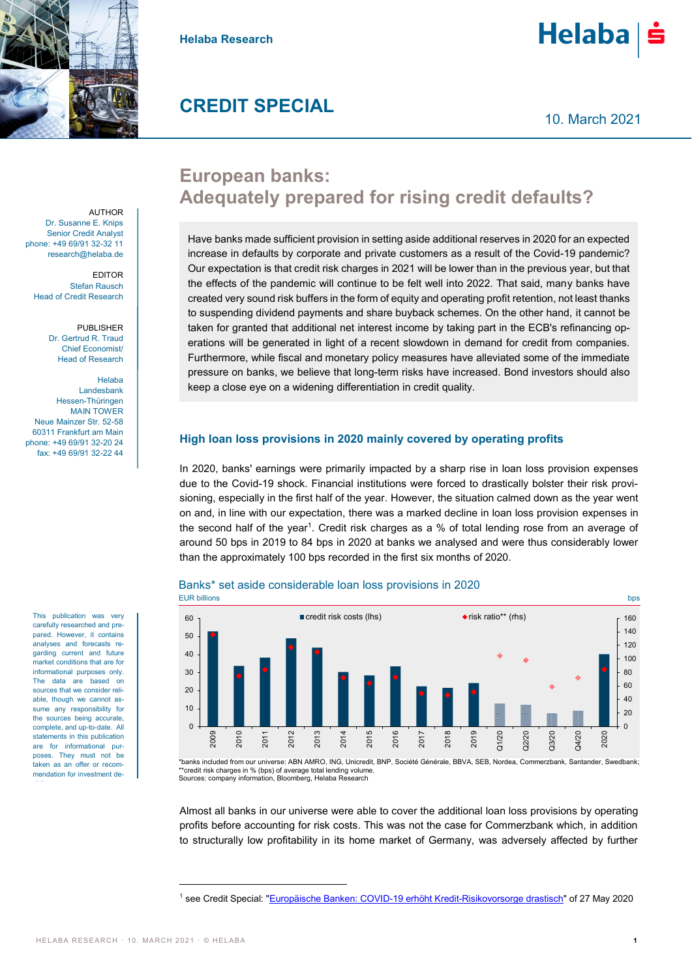



## **CREDIT SPECIAL**

AUTHOR Dr. Susanne E. Knips Senior Credit Analyst phone: +49 69/91 32-32 11 research@helaba.de

EDITOR Stefan Rausch Head of Credit Research

> PUBLISHER Dr. Gertrud R. Traud Chief Economist/ Head of Research

Helaba Landesbank Hessen-Thüringen MAIN TOWER Neue Mainzer Str. 52-58 60311 Frankfurt am Main phone: +49 69/91 32-20 24 fax: +49 69/91 32-22 44

This publication was very carefully researched and prepared. However, it contains analyses and forecasts regarding current and future market conditions that are for informational purposes only. The data are based on sources that we consider reliable, though we cannot assume any responsibility for the sources being accurate, complete, and up-to-date. All statements in this publication are for informational purposes. They must not be taken as an offer or recommendation for investment decisions.

# **European banks: Adequately prepared for rising credit defaults?**

Have banks made sufficient provision in setting aside additional reserves in 2020 for an expected increase in defaults by corporate and private customers as a result of the Covid-19 pandemic? Our expectation is that credit risk charges in 2021 will be lower than in the previous year, but that the effects of the pandemic will continue to be felt well into 2022. That said, many banks have created very sound risk buffers in the form of equity and operating profit retention, not least thanks to suspending dividend payments and share buyback schemes. On the other hand, it cannot be taken for granted that additional net interest income by taking part in the ECB's refinancing operations will be generated in light of a recent slowdown in demand for credit from companies. Furthermore, while fiscal and monetary policy measures have alleviated some of the immediate pressure on banks, we believe that long-term risks have increased. Bond investors should also keep a close eye on a widening differentiation in credit quality.

#### **High loan loss provisions in 2020 mainly covered by operating profits**

In 2020, banks' earnings were primarily impacted by a sharp rise in loan loss provision expenses due to the Covid-19 shock. Financial institutions were forced to drastically bolster their risk provisioning, especially in the first half of the year. However, the situation calmed down as the year went on and, in line with our expectation, there was a marked decline in loan loss provision expenses in the second half of the year<sup>1</sup>. Credit risk charges as a % of total lending rose from an average of around 50 bps in 2019 to 84 bps in 2020 at banks we analysed and were thus considerably lower than the approximately 100 bps recorded in the first six months of 2020.





\*banks included from our universe: ABN AMRO, ING, Unicredit, BNP, Société Générale, BBVA, SEB, Nordea, Commerzbank, Santander, Swedbank; \*credit risk charges in % (bps) of average total lending volume Sources: company information, Bloomberg, Helaba Research

Almost all banks in our universe were able to cover the additional loan loss provisions by operating profits before accounting for risk costs. This was not the case for Commerzbank which, in addition to structurally low profitability in its home market of Germany, was adversely affected by further

 $\overline{a}$ 

160

<sup>1</sup> see Credit Special: ["Europäische Banken: COVID-19 erhöht Kredit-Risikovorsorge drastisch"](https://www.helaba.de/blueprint/servlet/resource/blob/docs/527398/e1bd77ef916698bfc286d0a4cd025e77/cs-20200527-data.pdf) of 27 May 2020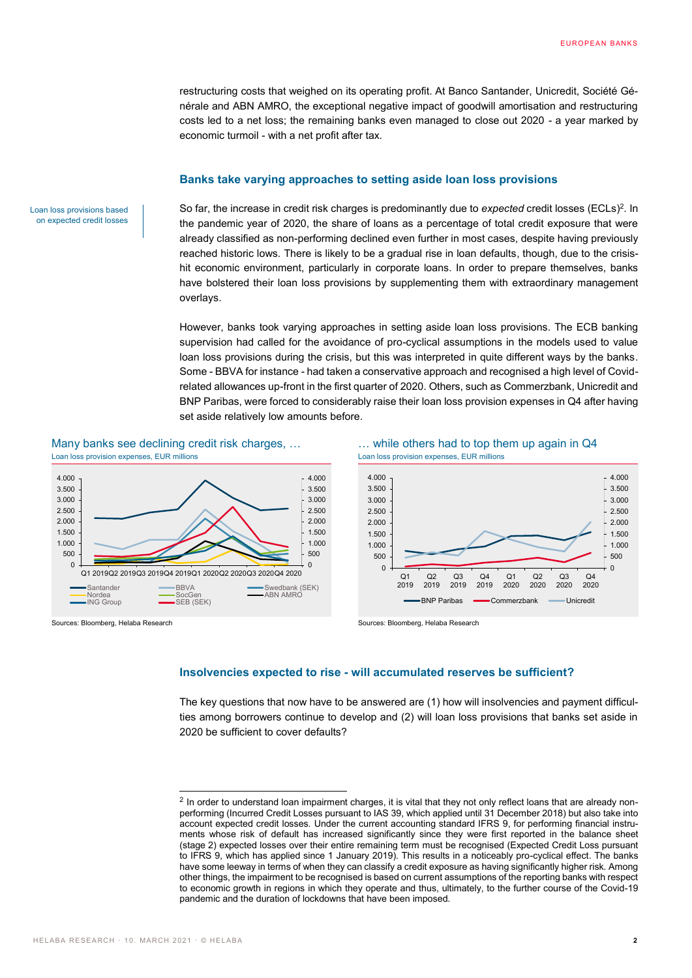restructuring costs that weighed on its operating profit. At Banco Santander, Unicredit, Société Générale and ABN AMRO, the exceptional negative impact of goodwill amortisation and restructuring costs led to a net loss; the remaining banks even managed to close out 2020 - a year marked by economic turmoil - with a net profit after tax.

#### **Banks take varying approaches to setting aside loan loss provisions**

Loan loss provisions based on expected credit losses

So far, the increase in credit risk charges is predominantly due to *expected* credit losses (ECLs)<sup>2</sup>. In the pandemic year of 2020, the share of loans as a percentage of total credit exposure that were already classified as non-performing declined even further in most cases, despite having previously reached historic lows. There is likely to be a gradual rise in loan defaults, though, due to the crisishit economic environment, particularly in corporate loans. In order to prepare themselves, banks have bolstered their loan loss provisions by supplementing them with extraordinary management overlays.

However, banks took varying approaches in setting aside loan loss provisions. The ECB banking supervision had called for the avoidance of pro-cyclical assumptions in the models used to value loan loss provisions during the crisis, but this was interpreted in quite different ways by the banks. Some - BBVA for instance - had taken a conservative approach and recognised a high level of Covidrelated allowances up-front in the first quarter of 2020. Others, such as Commerzbank, Unicredit and BNP Paribas, were forced to considerably raise their loan loss provision expenses in Q4 after having set aside relatively low amounts before.

Loan loss provision expenses, EUR millions Loan loss provision expenses, EUR millions



 $\overline{a}$ 

Sources: Bloomberg, Helaba Research Sources: Bloomberg, Helaba Research Sources: Bloomberg, Helaba Research

Many banks see declining credit risk charges, ... … … while others had to top them up again in Q4



#### **Insolvencies expected to rise - will accumulated reserves be sufficient?**

The key questions that now have to be answered are (1) how will insolvencies and payment difficulties among borrowers continue to develop and (2) will loan loss provisions that banks set aside in 2020 be sufficient to cover defaults?

 $2$  In order to understand loan impairment charges, it is vital that they not only reflect loans that are already nonperforming (Incurred Credit Losses pursuant to IAS 39, which applied until 31 December 2018) but also take into account expected credit losses. Under the current accounting standard IFRS 9, for performing financial instruments whose risk of default has increased significantly since they were first reported in the balance sheet (stage 2) expected losses over their entire remaining term must be recognised (Expected Credit Loss pursuant to IFRS 9, which has applied since 1 January 2019). This results in a noticeably pro-cyclical effect. The banks have some leeway in terms of when they can classify a credit exposure as having significantly higher risk. Among other things, the impairment to be recognised is based on current assumptions of the reporting banks with respect to economic growth in regions in which they operate and thus, ultimately, to the further course of the Covid-19 pandemic and the duration of lockdowns that have been imposed.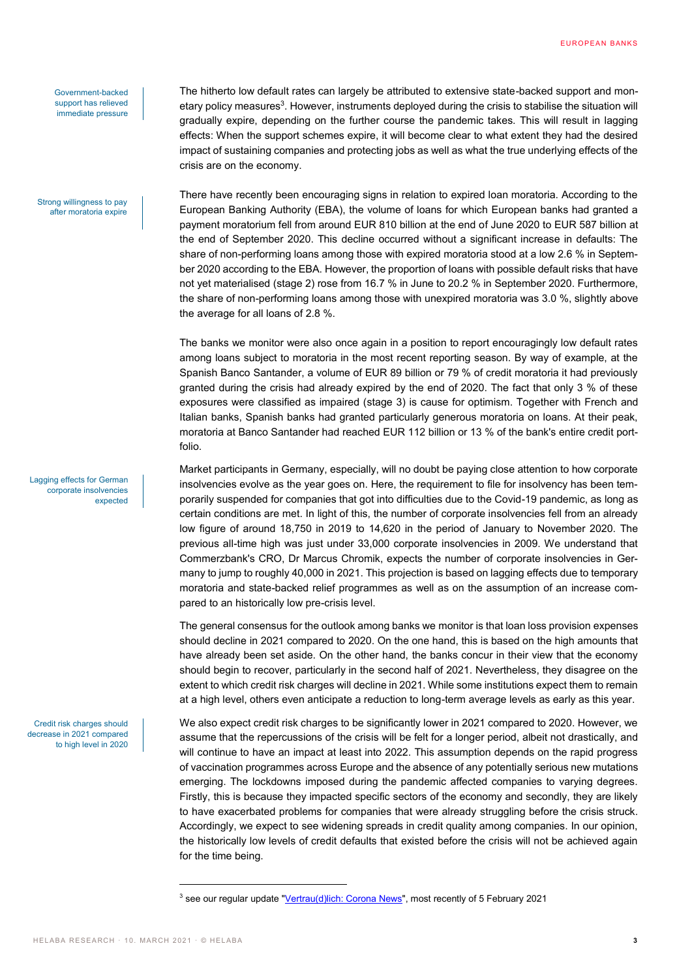Government-backed support has relieved immediate pressure

Strong willingness to pay after moratoria expire

Lagging effects for German corporate insolvencies expected

Credit risk charges should decrease in 2021 compared to high level in 2020 The hitherto low default rates can largely be attributed to extensive state-backed support and monetary policy measures<sup>3</sup>. However, instruments deployed during the crisis to stabilise the situation will gradually expire, depending on the further course the pandemic takes. This will result in lagging effects: When the support schemes expire, it will become clear to what extent they had the desired impact of sustaining companies and protecting jobs as well as what the true underlying effects of the crisis are on the economy.

There have recently been encouraging signs in relation to expired loan moratoria. According to the European Banking Authority (EBA), the volume of loans for which European banks had granted a payment moratorium fell from around EUR 810 billion at the end of June 2020 to EUR 587 billion at the end of September 2020. This decline occurred without a significant increase in defaults: The share of non-performing loans among those with expired moratoria stood at a low 2.6 % in September 2020 according to the EBA. However, the proportion of loans with possible default risks that have not yet materialised (stage 2) rose from 16.7 % in June to 20.2 % in September 2020. Furthermore, the share of non-performing loans among those with unexpired moratoria was 3.0 %, slightly above the average for all loans of 2.8 %.

The banks we monitor were also once again in a position to report encouragingly low default rates among loans subject to moratoria in the most recent reporting season. By way of example, at the Spanish Banco Santander, a volume of EUR 89 billion or 79 % of credit moratoria it had previously granted during the crisis had already expired by the end of 2020. The fact that only 3 % of these exposures were classified as impaired (stage 3) is cause for optimism. Together with French and Italian banks, Spanish banks had granted particularly generous moratoria on loans. At their peak, moratoria at Banco Santander had reached EUR 112 billion or 13 % of the bank's entire credit portfolio.

Market participants in Germany, especially, will no doubt be paying close attention to how corporate insolvencies evolve as the year goes on. Here, the requirement to file for insolvency has been temporarily suspended for companies that got into difficulties due to the Covid-19 pandemic, as long as certain conditions are met. In light of this, the number of corporate insolvencies fell from an already low figure of around 18,750 in 2019 to 14,620 in the period of January to November 2020. The previous all-time high was just under 33,000 corporate insolvencies in 2009. We understand that Commerzbank's CRO, Dr Marcus Chromik, expects the number of corporate insolvencies in Germany to jump to roughly 40,000 in 2021. This projection is based on lagging effects due to temporary moratoria and state-backed relief programmes as well as on the assumption of an increase compared to an historically low pre-crisis level.

The general consensus for the outlook among banks we monitor is that loan loss provision expenses should decline in 2021 compared to 2020. On the one hand, this is based on the high amounts that have already been set aside. On the other hand, the banks concur in their view that the economy should begin to recover, particularly in the second half of 2021. Nevertheless, they disagree on the extent to which credit risk charges will decline in 2021. While some institutions expect them to remain at a high level, others even anticipate a reduction to long-term average levels as early as this year.

We also expect credit risk charges to be significantly lower in 2021 compared to 2020. However, we assume that the repercussions of the crisis will be felt for a longer period, albeit not drastically, and will continue to have an impact at least into 2022. This assumption depends on the rapid progress of vaccination programmes across Europe and the absence of any potentially serious new mutations emerging. The lockdowns imposed during the pandemic affected companies to varying degrees. Firstly, this is because they impacted specific sectors of the economy and secondly, they are likely to have exacerbated problems for companies that were already struggling before the crisis struck. Accordingly, we expect to see widening spreads in credit quality among companies. In our opinion, the historically low levels of credit defaults that existed before the crisis will not be achieved again for the time being.

 $\overline{a}$ 

<sup>&</sup>lt;sup>3</sup> see our regular update ["Vertrau\(d\)lich: Corona News"](https://www.helaba.de/blueprint/servlet/resource/blob/docs/524442/142f44ae72486e7d9d8fd099232db156/corona-news-data.pdf), most recently of 5 February 2021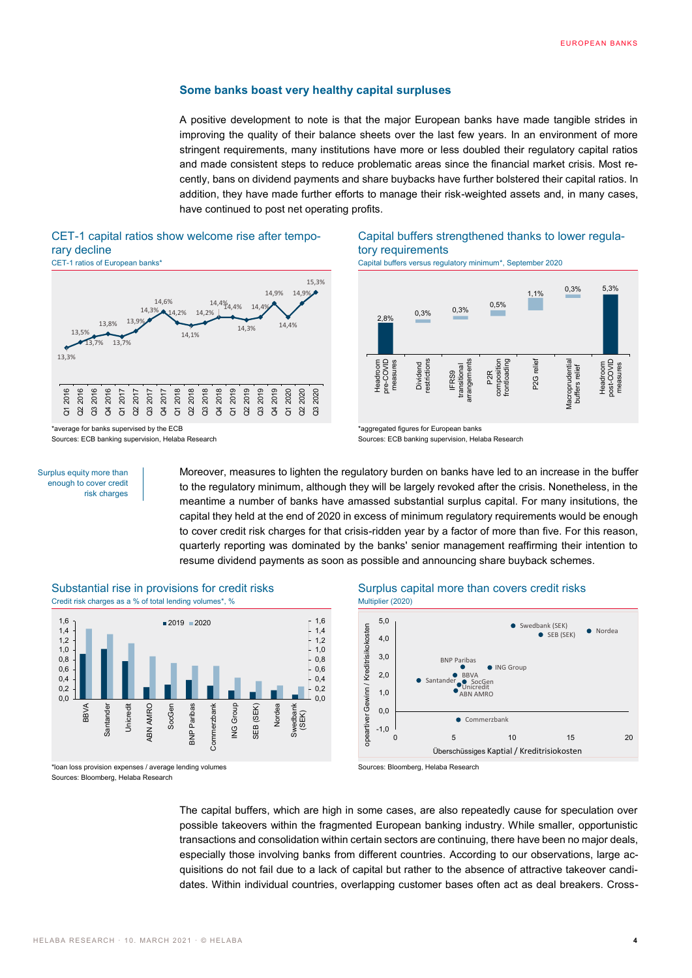#### **Some banks boast very healthy capital surpluses**

A positive development to note is that the major European banks have made tangible strides in improving the quality of their balance sheets over the last few years. In an environment of more stringent requirements, many institutions have more or less doubled their regulatory capital ratios and made consistent steps to reduce problematic areas since the financial market crisis. Most recently, bans on dividend payments and share buybacks have further bolstered their capital ratios. In addition, they have made further efforts to manage their risk-weighted assets and, in many cases, have continued to post net operating profits.

#### CET-1 capital ratios show welcome rise after temporary decline



\*average for banks supervised by the ECB Sources: ECB banking supervision, Helaba Research Capital buffers strengthened thanks to lower regulatory requirements

CET-1 ratios of European banks\* Capital buffers versus regulatory minimum\*, September 2020



Surplus equity more than enough to cover credit risk charges

Moreover, measures to lighten the regulatory burden on banks have led to an increase in the buffer to the regulatory minimum, although they will be largely revoked after the crisis. Nonetheless, in the meantime a number of banks have amassed substantial surplus capital. For many insitutions, the capital they held at the end of 2020 in excess of minimum regulatory requirements would be enough to cover credit risk charges for that crisis-ridden year by a factor of more than five. For this reason, quarterly reporting was dominated by the banks' senior management reaffirming their intention to resume dividend payments as soon as possible and announcing share buyback schemes.

\*aggregated figures for European banks Sources: ECB banking supervision, Helaba Research



Substantial rise in provisions for credit risks Surplus capital more than covers credit risks Credit risk charges as a % of total lending volumes\*, % Multiplier (2020)

\*loan loss provision expenses / average lending volumes Sources: Bloomberg, Helaba Research



Sources: Bloomberg, Helaba Research

The capital buffers, which are high in some cases, are also repeatedly cause for speculation over possible takeovers within the fragmented European banking industry. While smaller, opportunistic transactions and consolidation within certain sectors are continuing, there have been no major deals, especially those involving banks from different countries. According to our observations, large acquisitions do not fail due to a lack of capital but rather to the absence of attractive takeover candidates. Within individual countries, overlapping customer bases often act as deal breakers. Cross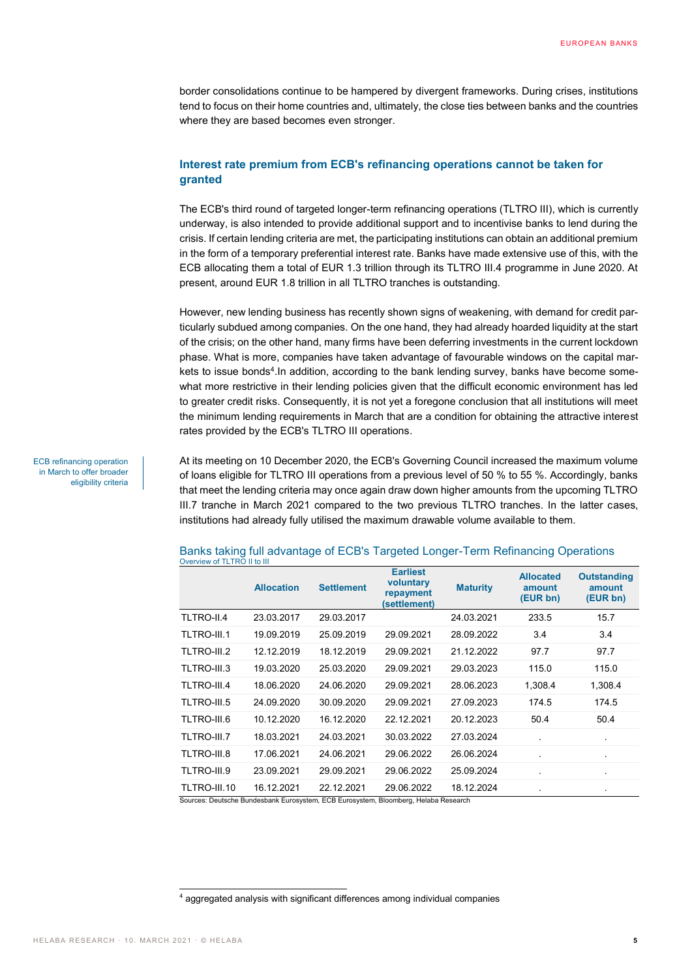border consolidations continue to be hampered by divergent frameworks. During crises, institutions tend to focus on their home countries and, ultimately, the close ties between banks and the countries where they are based becomes even stronger.

#### **Interest rate premium from ECB's refinancing operations cannot be taken for granted**

The ECB's third round of targeted longer-term refinancing operations (TLTRO III), which is currently underway, is also intended to provide additional support and to incentivise banks to lend during the crisis. If certain lending criteria are met, the participating institutions can obtain an additional premium in the form of a temporary preferential interest rate. Banks have made extensive use of this, with the ECB allocating them a total of EUR 1.3 trillion through its TLTRO III.4 programme in June 2020. At present, around EUR 1.8 trillion in all TLTRO tranches is outstanding.

However, new lending business has recently shown signs of weakening, with demand for credit particularly subdued among companies. On the one hand, they had already hoarded liquidity at the start of the crisis; on the other hand, many firms have been deferring investments in the current lockdown phase. What is more, companies have taken advantage of favourable windows on the capital markets to issue bonds<sup>4</sup>. In addition, according to the bank lending survey, banks have become somewhat more restrictive in their lending policies given that the difficult economic environment has led to greater credit risks. Consequently, it is not yet a foregone conclusion that all institutions will meet the minimum lending requirements in March that are a condition for obtaining the attractive interest rates provided by the ECB's TLTRO III operations.

At its meeting on 10 December 2020, the ECB's Governing Council increased the maximum volume of loans eligible for TLTRO III operations from a previous level of 50 % to 55 %. Accordingly, banks that meet the lending criteria may once again draw down higher amounts from the upcoming TLTRO III.7 tranche in March 2021 compared to the two previous TLTRO tranches. In the latter cases, institutions had already fully utilised the maximum drawable volume available to them.

|              | <b>Allocation</b> | <b>Settlement</b> | <b>Earliest</b><br>voluntary<br>repayment<br>(settlement) | <b>Maturity</b> | <b>Allocated</b><br>amount<br>(EUR bn) | <b>Outstanding</b><br>amount<br>(EUR bn) |
|--------------|-------------------|-------------------|-----------------------------------------------------------|-----------------|----------------------------------------|------------------------------------------|
| TLTRO-II.4   | 23.03.2017        | 29.03.2017        |                                                           | 24.03.2021      | 233.5                                  | 15.7                                     |
| TLTRO-III.1  | 19.09.2019        | 25.09.2019        | 29.09.2021                                                | 28.09.2022      | 3.4                                    | 3.4                                      |
| TLTRO-III.2  | 12.12.2019        | 18.12.2019        | 29.09.2021                                                | 21.12.2022      | 97.7                                   | 97.7                                     |
| TLTRO-III.3  | 19.03.2020        | 25.03.2020        | 29.09.2021                                                | 29.03.2023      | 115.0                                  | 115.0                                    |
| TLTRO-III.4  | 18.06.2020        | 24.06.2020        | 29.09.2021                                                | 28.06.2023      | 1,308.4                                | 1,308.4                                  |
| TLTRO-III.5  | 24.09.2020        | 30.09.2020        | 29.09.2021                                                | 27.09.2023      | 174.5                                  | 174.5                                    |
| TLTRO-III.6  | 10.12.2020        | 16.12.2020        | 22.12.2021                                                | 20.12.2023      | 50.4                                   | 50.4                                     |
| TLTRO-III.7  | 18.03.2021        | 24.03.2021        | 30.03.2022                                                | 27.03.2024      |                                        |                                          |
| TLTRO-III.8  | 17.06.2021        | 24.06.2021        | 29.06.2022                                                | 26.06.2024      |                                        | ×.                                       |
| TLTRO-III.9  | 23.09.2021        | 29.09.2021        | 29.06.2022                                                | 25.09.2024      |                                        |                                          |
| TLTRO-III.10 | 16.12.2021        | 22.12.2021        | 29.06.2022<br>FOR FULL ULLER BL. Lub can Heleke Besteadt  | 18.12.2024      |                                        | ٠                                        |

#### Banks taking full advantage of ECB's Targeted Longer-Term Refinancing Operations Overview of TLTRO II to III

urces: Deutsche Bundesbank Eurosystem, ECB Eurosystem, Bloomberg, Helaba Research

ECB refinancing operation in March to offer broader eligibility criteria

 $\overline{a}$ 

<sup>4</sup> aggregated analysis with significant differences among individual companies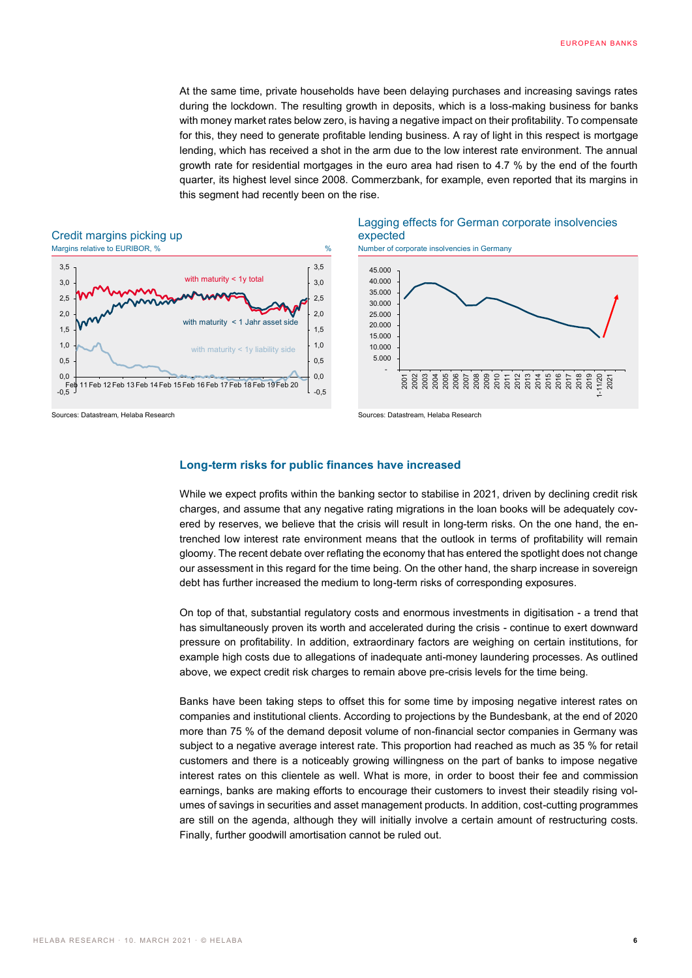At the same time, private households have been delaying purchases and increasing savings rates during the lockdown. The resulting growth in deposits, which is a loss-making business for banks with money market rates below zero, is having a negative impact on their profitability. To compensate for this, they need to generate profitable lending business. A ray of light in this respect is mortgage lending, which has received a shot in the arm due to the low interest rate environment. The annual growth rate for residential mortgages in the euro area had risen to 4.7 % by the end of the fourth quarter, its highest level since 2008. Commerzbank, for example, even reported that its margins in this segment had recently been on the rise.

# Credit margins picking up<br>Margins relative to EURIBOR, %



### Lagging effects for German corporate insolvencies expected





Sources: Datastream, Helaba Research Sources: Datastream, Helaba Research

#### **Long-term risks for public finances have increased**

While we expect profits within the banking sector to stabilise in 2021, driven by declining credit risk charges, and assume that any negative rating migrations in the loan books will be adequately covered by reserves, we believe that the crisis will result in long-term risks. On the one hand, the entrenched low interest rate environment means that the outlook in terms of profitability will remain gloomy. The recent debate over reflating the economy that has entered the spotlight does not change our assessment in this regard for the time being. On the other hand, the sharp increase in sovereign debt has further increased the medium to long-term risks of corresponding exposures.

On top of that, substantial regulatory costs and enormous investments in digitisation - a trend that has simultaneously proven its worth and accelerated during the crisis - continue to exert downward pressure on profitability. In addition, extraordinary factors are weighing on certain institutions, for example high costs due to allegations of inadequate anti-money laundering processes. As outlined above, we expect credit risk charges to remain above pre-crisis levels for the time being.

Banks have been taking steps to offset this for some time by imposing negative interest rates on companies and institutional clients. According to projections by the Bundesbank, at the end of 2020 more than 75 % of the demand deposit volume of non-financial sector companies in Germany was subject to a negative average interest rate. This proportion had reached as much as 35 % for retail customers and there is a noticeably growing willingness on the part of banks to impose negative interest rates on this clientele as well. What is more, in order to boost their fee and commission earnings, banks are making efforts to encourage their customers to invest their steadily rising volumes of savings in securities and asset management products. In addition, cost-cutting programmes are still on the agenda, although they will initially involve a certain amount of restructuring costs. Finally, further goodwill amortisation cannot be ruled out.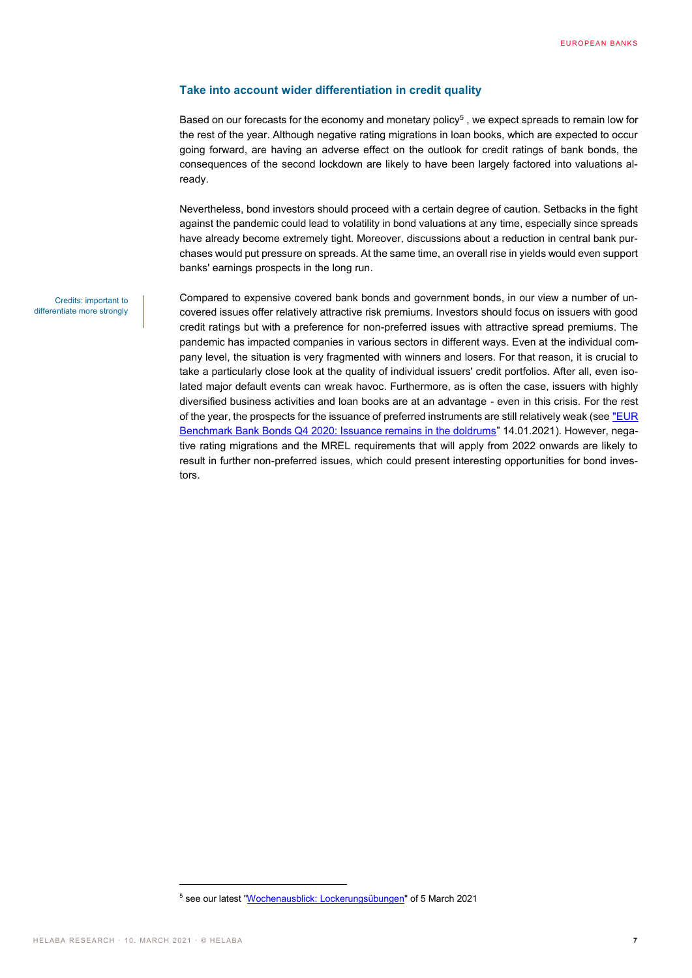#### **Take into account wider differentiation in credit quality**

Based on our forecasts for the economy and monetary policy<sup>5</sup>, we expect spreads to remain low for the rest of the year. Although negative rating migrations in loan books, which are expected to occur going forward, are having an adverse effect on the outlook for credit ratings of bank bonds, the consequences of the second lockdown are likely to have been largely factored into valuations already.

Nevertheless, bond investors should proceed with a certain degree of caution. Setbacks in the fight against the pandemic could lead to volatility in bond valuations at any time, especially since spreads have already become extremely tight. Moreover, discussions about a reduction in central bank purchases would put pressure on spreads. At the same time, an overall rise in yields would even support banks' earnings prospects in the long run.

Credits: important to differentiate more strongly Compared to expensive covered bank bonds and government bonds, in our view a number of uncovered issues offer relatively attractive risk premiums. Investors should focus on issuers with good credit ratings but with a preference for non-preferred issues with attractive spread premiums. The pandemic has impacted companies in various sectors in different ways. Even at the individual company level, the situation is very fragmented with winners and losers. For that reason, it is crucial to take a particularly close look at the quality of individual issuers' credit portfolios. After all, even isolated major default events can wreak havoc. Furthermore, as is often the case, issuers with highly diversified business activities and loan books are at an advantage - even in this crisis. For the rest of the year, the prospects for the issuance of preferred instruments are still relatively weak (see "EUR [Benchmark Bank Bonds Q4 2020: Issuance remains in the doldrums](https://www.helaba.de/blueprint/servlet/resource/blob/docs/543098/38e07752c7d956e265bf36d8612080cd/primaermarkt-update-bank-en-20210108-data.pdf)" 14.01.2021). However, negative rating migrations and the MREL requirements that will apply from 2022 onwards are likely to result in further non-preferred issues, which could present interesting opportunities for bond investors.

 $\overline{a}$ 

<sup>5</sup> see our latest ["Wochenausblick: Lockerungsübungen"](https://www.helaba.de/blueprint/servlet/resource/blob/docs/548276/e1d3e84beb4328a11c5cea4446b458fc/wochenausblick-20210305-data.pdf) of 5 March 2021